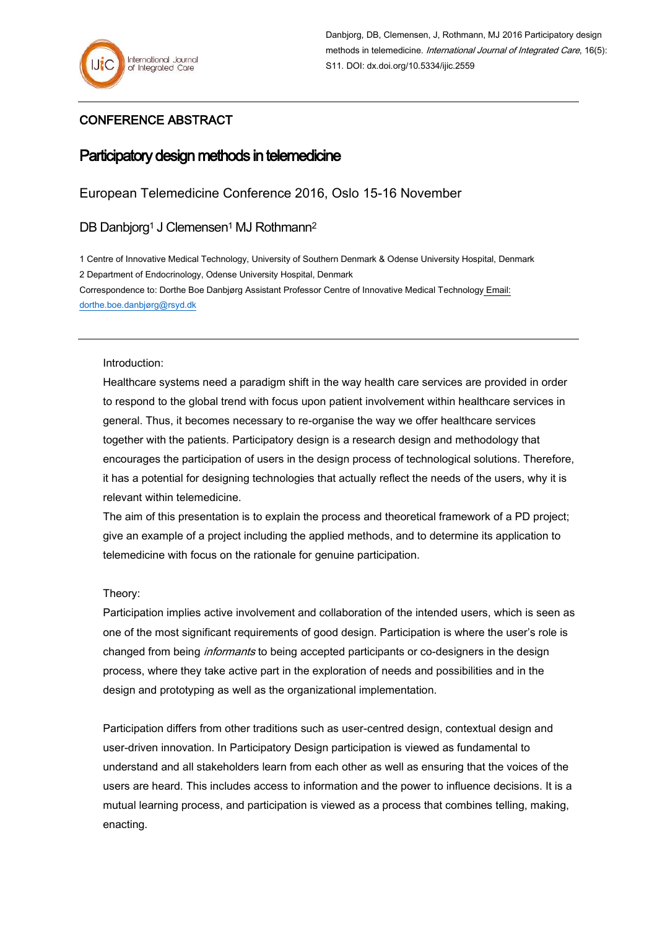### CONFERENCE ABSTRACT

# Participatory design methods in telemedicine

## European Telemedicine Conference 2016, Oslo 15-16 November

DB Danbjorg<sup>1</sup> J Clemensen<sup>1</sup> MJ Rothmann<sup>2</sup>

1 Centre of Innovative Medical Technology, University of Southern Denmark & Odense University Hospital, Denmark 2 Department of Endocrinology, Odense University Hospital, Denmark Correspondence to: Dorthe Boe Danbjørg Assistant Professor Centre of Innovative Medical Technology Email: [dorthe.boe.danbjørg@rsyd.dk](mailto:jane.clemensen@rsyd.dk) 

Introduction:

Healthcare systems need a paradigm shift in the way health care services are provided in order to respond to the global trend with focus upon patient involvement within healthcare services in general. Thus, it becomes necessary to re-organise the way we offer healthcare services together with the patients. Participatory design is a research design and methodology that encourages the participation of users in the design process of technological solutions. Therefore, it has a potential for designing technologies that actually reflect the needs of the users, why it is relevant within telemedicine.

The aim of this presentation is to explain the process and theoretical framework of a PD project; give an example of a project including the applied methods, and to determine its application to telemedicine with focus on the rationale for genuine participation.

Theory:

Participation implies active involvement and collaboration of the intended users, which is seen as one of the most significant requirements of good design. Participation is where the user's role is changed from being *informants* to being accepted participants or co-designers in the design process, where they take active part in the exploration of needs and possibilities and in the design and prototyping as well as the organizational implementation.

Participation differs from other traditions such as user-centred design, contextual design and user-driven innovation. In Participatory Design participation is viewed as fundamental to understand and all stakeholders learn from each other as well as ensuring that the voices of the users are heard. This includes access to information and the power to influence decisions. It is a mutual learning process, and participation is viewed as a process that combines telling, making, enacting.